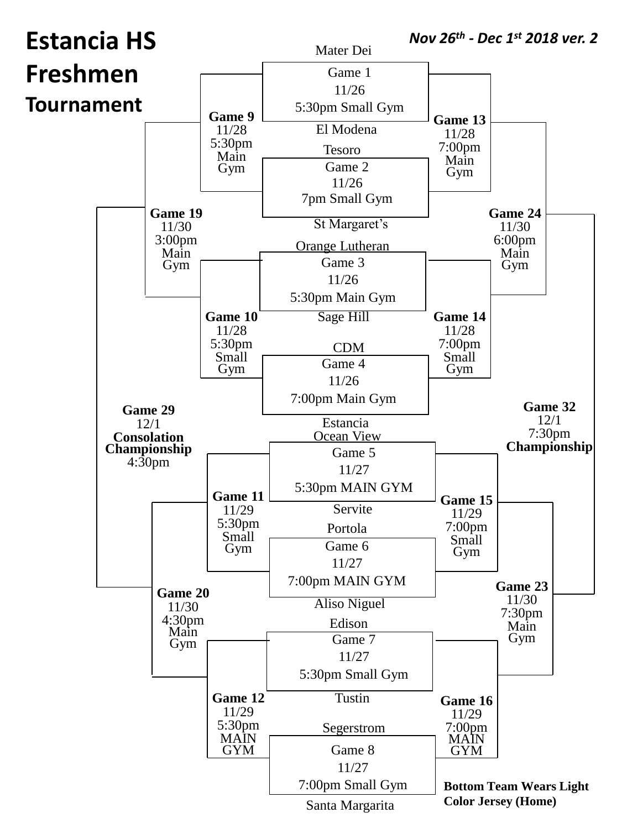